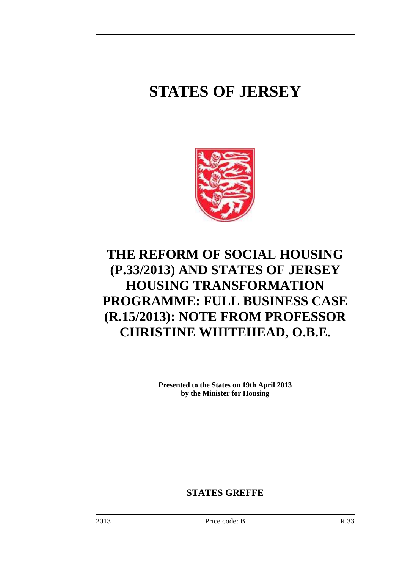# **STATES OF JERSEY**



# **THE REFORM OF SOCIAL HOUSING (P.33/2013) AND STATES OF JERSEY HOUSING TRANSFORMATION PROGRAMME: FULL BUSINESS CASE (R.15/2013): NOTE FROM PROFESSOR CHRISTINE WHITEHEAD, O.B.E.**

**Presented to the States on 19th April 2013 by the Minister for Housing** 

**STATES GREFFE**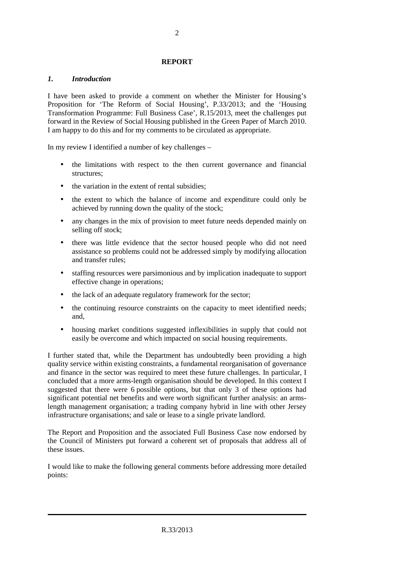#### **REPORT**

# *1. Introduction*

I have been asked to provide a comment on whether the Minister for Housing's Proposition for 'The Reform of Social Housing', P.33/2013; and the 'Housing Transformation Programme: Full Business Case', R.15/2013, meet the challenges put forward in the Review of Social Housing published in the Green Paper of March 2010. I am happy to do this and for my comments to be circulated as appropriate.

In my review I identified a number of key challenges –

- the limitations with respect to the then current governance and financial structures;
- the variation in the extent of rental subsidies:
- the extent to which the balance of income and expenditure could only be achieved by running down the quality of the stock;
- any changes in the mix of provision to meet future needs depended mainly on selling off stock;
- there was little evidence that the sector housed people who did not need assistance so problems could not be addressed simply by modifying allocation and transfer rules;
- staffing resources were parsimonious and by implication inadequate to support effective change in operations;
- the lack of an adequate regulatory framework for the sector;
- the continuing resource constraints on the capacity to meet identified needs; and,
- housing market conditions suggested inflexibilities in supply that could not easily be overcome and which impacted on social housing requirements.

I further stated that, while the Department has undoubtedly been providing a high quality service within existing constraints, a fundamental reorganisation of governance and finance in the sector was required to meet these future challenges. In particular, I concluded that a more arms-length organisation should be developed. In this context I suggested that there were 6 possible options, but that only 3 of these options had significant potential net benefits and were worth significant further analysis: an armslength management organisation; a trading company hybrid in line with other Jersey infrastructure organisations; and sale or lease to a single private landlord.

The Report and Proposition and the associated Full Business Case now endorsed by the Council of Ministers put forward a coherent set of proposals that address all of these issues.

I would like to make the following general comments before addressing more detailed points: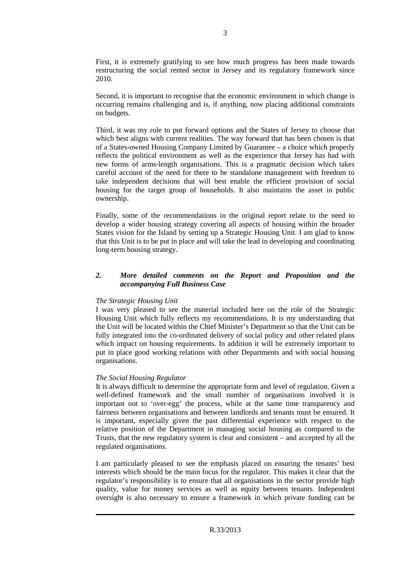First, it is extremely gratifying to see how much progress has been made towards restructuring the social rented sector in Jersey and its regulatory framework since 2010.

Second, it is important to recognise that the economic environment in which change is occurring remains challenging and is, if anything, now placing additional constraints on budgets.

Third, it was my role to put forward options and the States of Jersey to choose that which best aligns with current realities. The way forward that has been chosen is that of a States-owned Housing Company Limited by Guarantee – a choice which properly reflects the political environment as well as the experience that Jersey has had with new forms of arms-length organisations. This is a pragmatic decision which takes careful account of the need for there to be standalone management with freedom to take independent decisions that will best enable the efficient provision of social housing for the target group of households. It also maintains the asset in public ownership.

Finally, some of the recommendations in the original report relate to the need to develop a wider housing strategy covering all aspects of housing within the broader States vision for the Island by setting up a Strategic Housing Unit. I am glad to know that this Unit is to be put in place and will take the lead in developing and coordinating long-term housing strategy.

#### *2. More detailed comments on the Report and Proposition and the accompanying Full Business Case*

#### *The Strategic Housing Unit*

I was very pleased to see the material included here on the role of the Strategic Housing Unit which fully reflects my recommendations. It is my understanding that the Unit will be located within the Chief Minister's Department so that the Unit can be fully integrated into the co-ordinated delivery of social policy and other related plans which impact on housing requirements. In addition it will be extremely important to put in place good working relations with other Departments and with social housing organisations.

# *The Social Housing Regulator*

It is always difficult to determine the appropriate form and level of regulation. Given a well-defined framework and the small number of organisations involved it is important not to 'over-egg' the process, while at the same time transparency and fairness between organisations and between landlords and tenants must be ensured. It is important, especially given the past differential experience with respect to the relative position of the Department in managing social housing as compared to the Trusts, that the new regulatory system is clear and consistent – and accepted by all the regulated organisations.

I am particularly pleased to see the emphasis placed on ensuring the tenants' best interests which should be the main focus for the regulator. This makes it clear that the regulator's responsibility is to ensure that all organisations in the sector provide high quality, value for money services as well as equity between tenants. Independent oversight is also necessary to ensure a framework in which private funding can be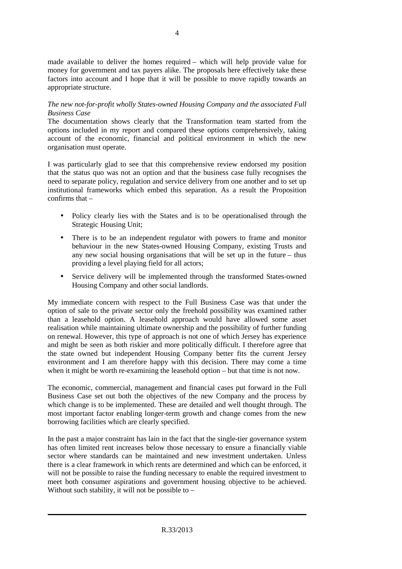made available to deliver the homes required – which will help provide value for money for government and tax payers alike. The proposals here effectively take these factors into account and I hope that it will be possible to move rapidly towards an appropriate structure.

# *The new not-for-profit wholly States-owned Housing Company and the associated Full Business Case*

The documentation shows clearly that the Transformation team started from the options included in my report and compared these options comprehensively, taking account of the economic, financial and political environment in which the new organisation must operate.

I was particularly glad to see that this comprehensive review endorsed my position that the status quo was not an option and that the business case fully recognises the need to separate policy, regulation and service delivery from one another and to set up institutional frameworks which embed this separation. As a result the Proposition confirms that –

- Policy clearly lies with the States and is to be operationalised through the Strategic Housing Unit;
- There is to be an independent regulator with powers to frame and monitor behaviour in the new States-owned Housing Company, existing Trusts and any new social housing organisations that will be set up in the future – thus providing a level playing field for all actors;
- Service delivery will be implemented through the transformed States-owned Housing Company and other social landlords.

My immediate concern with respect to the Full Business Case was that under the option of sale to the private sector only the freehold possibility was examined rather than a leasehold option. A leasehold approach would have allowed some asset realisation while maintaining ultimate ownership and the possibility of further funding on renewal. However, this type of approach is not one of which Jersey has experience and might be seen as both riskier and more politically difficult. I therefore agree that the state owned but independent Housing Company better fits the current Jersey environment and I am therefore happy with this decision. There may come a time when it might be worth re-examining the leasehold option – but that time is not now.

The economic, commercial, management and financial cases put forward in the Full Business Case set out both the objectives of the new Company and the process by which change is to be implemented. These are detailed and well thought through. The most important factor enabling longer-term growth and change comes from the new borrowing facilities which are clearly specified.

In the past a major constraint has lain in the fact that the single-tier governance system has often limited rent increases below those necessary to ensure a financially viable sector where standards can be maintained and new investment undertaken. Unless there is a clear framework in which rents are determined and which can be enforced, it will not be possible to raise the funding necessary to enable the required investment to meet both consumer aspirations and government housing objective to be achieved. Without such stability, it will not be possible to  $-$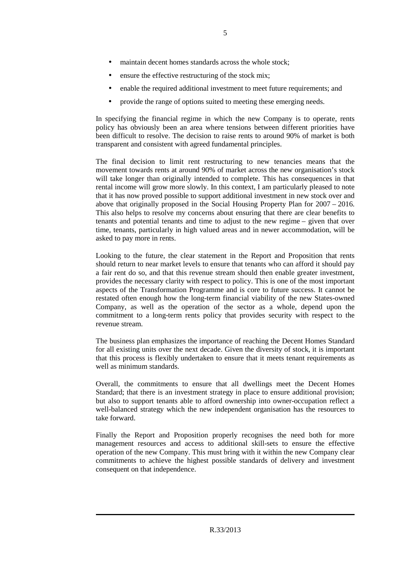- maintain decent homes standards across the whole stock;
- ensure the effective restructuring of the stock mix;
- enable the required additional investment to meet future requirements; and
- provide the range of options suited to meeting these emerging needs.

In specifying the financial regime in which the new Company is to operate, rents policy has obviously been an area where tensions between different priorities have been difficult to resolve. The decision to raise rents to around 90% of market is both transparent and consistent with agreed fundamental principles.

The final decision to limit rent restructuring to new tenancies means that the movement towards rents at around 90% of market across the new organisation's stock will take longer than originally intended to complete. This has consequences in that rental income will grow more slowly. In this context, I am particularly pleased to note that it has now proved possible to support additional investment in new stock over and above that originally proposed in the Social Housing Property Plan for 2007 – 2016. This also helps to resolve my concerns about ensuring that there are clear benefits to tenants and potential tenants and time to adjust to the new regime – given that over time, tenants, particularly in high valued areas and in newer accommodation, will be asked to pay more in rents.

Looking to the future, the clear statement in the Report and Proposition that rents should return to near market levels to ensure that tenants who can afford it should pay a fair rent do so, and that this revenue stream should then enable greater investment, provides the necessary clarity with respect to policy. This is one of the most important aspects of the Transformation Programme and is core to future success. It cannot be restated often enough how the long-term financial viability of the new States-owned Company, as well as the operation of the sector as a whole, depend upon the commitment to a long-term rents policy that provides security with respect to the revenue stream.

The business plan emphasizes the importance of reaching the Decent Homes Standard for all existing units over the next decade. Given the diversity of stock, it is important that this process is flexibly undertaken to ensure that it meets tenant requirements as well as minimum standards.

Overall, the commitments to ensure that all dwellings meet the Decent Homes Standard; that there is an investment strategy in place to ensure additional provision; but also to support tenants able to afford ownership into owner-occupation reflect a well-balanced strategy which the new independent organisation has the resources to take forward.

Finally the Report and Proposition properly recognises the need both for more management resources and access to additional skill-sets to ensure the effective operation of the new Company. This must bring with it within the new Company clear commitments to achieve the highest possible standards of delivery and investment consequent on that independence.